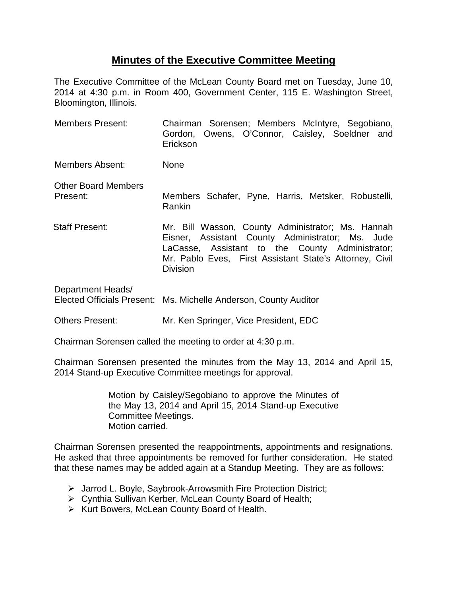## **Minutes of the Executive Committee Meeting**

The Executive Committee of the McLean County Board met on Tuesday, June 10, 2014 at 4:30 p.m. in Room 400, Government Center, 115 E. Washington Street, Bloomington, Illinois.

- Members Present: Chairman Sorensen; Members McIntyre, Segobiano, Gordon, Owens, O'Connor, Caisley, Soeldner and Erickson Members Absent: None Other Board Members Present: Members Schafer, Pyne, Harris, Metsker, Robustelli, Rankin Staff Present: Mr. Bill Wasson, County Administrator; Ms. Hannah Eisner, Assistant County Administrator; Ms. Jude LaCasse, Assistant to the County Administrator; Mr. Pablo Eves, First Assistant State's Attorney, Civil Division Department Heads/ Elected Officials Present: Ms. Michelle Anderson, County Auditor
- Others Present: Mr. Ken Springer, Vice President, EDC

Chairman Sorensen called the meeting to order at 4:30 p.m.

Chairman Sorensen presented the minutes from the May 13, 2014 and April 15, 2014 Stand-up Executive Committee meetings for approval.

> Motion by Caisley/Segobiano to approve the Minutes of the May 13, 2014 and April 15, 2014 Stand-up Executive Committee Meetings. Motion carried.

Chairman Sorensen presented the reappointments, appointments and resignations. He asked that three appointments be removed for further consideration. He stated that these names may be added again at a Standup Meeting. They are as follows:

- Jarrod L. Boyle, Saybrook-Arrowsmith Fire Protection District;
- Cynthia Sullivan Kerber, McLean County Board of Health;
- $\triangleright$  Kurt Bowers, McLean County Board of Health.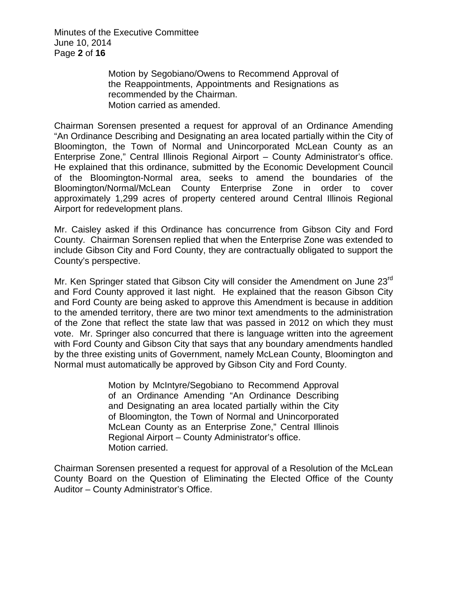Minutes of the Executive Committee June 10, 2014 Page **2** of **16**

> Motion by Segobiano/Owens to Recommend Approval of the Reappointments, Appointments and Resignations as recommended by the Chairman. Motion carried as amended.

Chairman Sorensen presented a request for approval of an Ordinance Amending "An Ordinance Describing and Designating an area located partially within the City of Bloomington, the Town of Normal and Unincorporated McLean County as an Enterprise Zone," Central Illinois Regional Airport – County Administrator's office. He explained that this ordinance, submitted by the Economic Development Council of the Bloomington-Normal area, seeks to amend the boundaries of the Bloomington/Normal/McLean County Enterprise Zone in order to cover approximately 1,299 acres of property centered around Central Illinois Regional Airport for redevelopment plans.

Mr. Caisley asked if this Ordinance has concurrence from Gibson City and Ford County. Chairman Sorensen replied that when the Enterprise Zone was extended to include Gibson City and Ford County, they are contractually obligated to support the County's perspective.

Mr. Ken Springer stated that Gibson City will consider the Amendment on June 23<sup>rd</sup> and Ford County approved it last night. He explained that the reason Gibson City and Ford County are being asked to approve this Amendment is because in addition to the amended territory, there are two minor text amendments to the administration of the Zone that reflect the state law that was passed in 2012 on which they must vote. Mr. Springer also concurred that there is language written into the agreement with Ford County and Gibson City that says that any boundary amendments handled by the three existing units of Government, namely McLean County, Bloomington and Normal must automatically be approved by Gibson City and Ford County.

> Motion by McIntyre/Segobiano to Recommend Approval of an Ordinance Amending "An Ordinance Describing and Designating an area located partially within the City of Bloomington, the Town of Normal and Unincorporated McLean County as an Enterprise Zone," Central Illinois Regional Airport – County Administrator's office. Motion carried.

Chairman Sorensen presented a request for approval of a Resolution of the McLean County Board on the Question of Eliminating the Elected Office of the County Auditor – County Administrator's Office.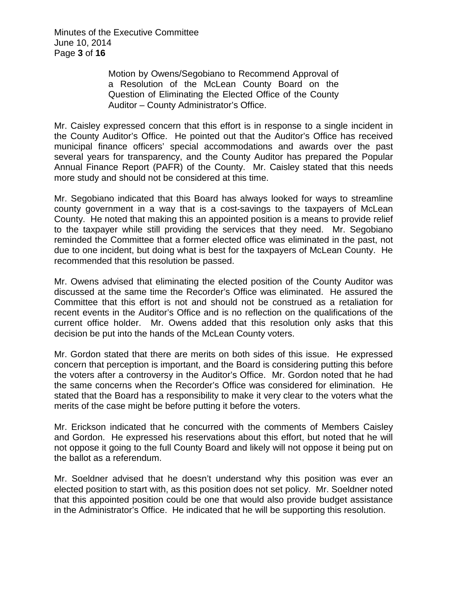Minutes of the Executive Committee June 10, 2014 Page **3** of **16**

> Motion by Owens/Segobiano to Recommend Approval of a Resolution of the McLean County Board on the Question of Eliminating the Elected Office of the County Auditor – County Administrator's Office.

Mr. Caisley expressed concern that this effort is in response to a single incident in the County Auditor's Office. He pointed out that the Auditor's Office has received municipal finance officers' special accommodations and awards over the past several years for transparency, and the County Auditor has prepared the Popular Annual Finance Report (PAFR) of the County. Mr. Caisley stated that this needs more study and should not be considered at this time.

Mr. Segobiano indicated that this Board has always looked for ways to streamline county government in a way that is a cost-savings to the taxpayers of McLean County. He noted that making this an appointed position is a means to provide relief to the taxpayer while still providing the services that they need. Mr. Segobiano reminded the Committee that a former elected office was eliminated in the past, not due to one incident, but doing what is best for the taxpayers of McLean County. He recommended that this resolution be passed.

Mr. Owens advised that eliminating the elected position of the County Auditor was discussed at the same time the Recorder's Office was eliminated. He assured the Committee that this effort is not and should not be construed as a retaliation for recent events in the Auditor's Office and is no reflection on the qualifications of the current office holder. Mr. Owens added that this resolution only asks that this decision be put into the hands of the McLean County voters.

Mr. Gordon stated that there are merits on both sides of this issue. He expressed concern that perception is important, and the Board is considering putting this before the voters after a controversy in the Auditor's Office. Mr. Gordon noted that he had the same concerns when the Recorder's Office was considered for elimination. He stated that the Board has a responsibility to make it very clear to the voters what the merits of the case might be before putting it before the voters.

Mr. Erickson indicated that he concurred with the comments of Members Caisley and Gordon. He expressed his reservations about this effort, but noted that he will not oppose it going to the full County Board and likely will not oppose it being put on the ballot as a referendum.

Mr. Soeldner advised that he doesn't understand why this position was ever an elected position to start with, as this position does not set policy. Mr. Soeldner noted that this appointed position could be one that would also provide budget assistance in the Administrator's Office. He indicated that he will be supporting this resolution.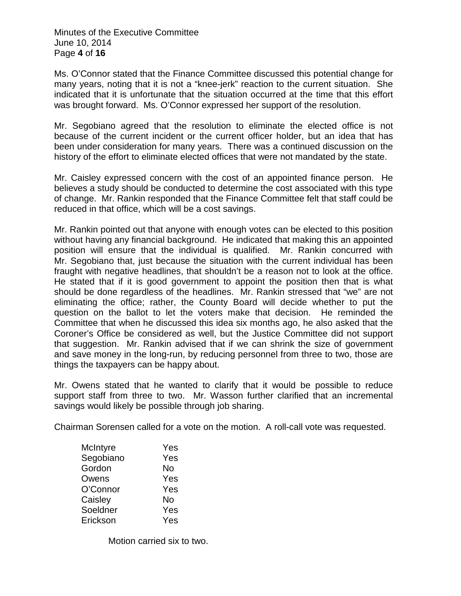Minutes of the Executive Committee June 10, 2014 Page **4** of **16**

Ms. O'Connor stated that the Finance Committee discussed this potential change for many years, noting that it is not a "knee-jerk" reaction to the current situation. She indicated that it is unfortunate that the situation occurred at the time that this effort was brought forward. Ms. O'Connor expressed her support of the resolution.

Mr. Segobiano agreed that the resolution to eliminate the elected office is not because of the current incident or the current officer holder, but an idea that has been under consideration for many years. There was a continued discussion on the history of the effort to eliminate elected offices that were not mandated by the state.

Mr. Caisley expressed concern with the cost of an appointed finance person. He believes a study should be conducted to determine the cost associated with this type of change. Mr. Rankin responded that the Finance Committee felt that staff could be reduced in that office, which will be a cost savings.

Mr. Rankin pointed out that anyone with enough votes can be elected to this position without having any financial background. He indicated that making this an appointed position will ensure that the individual is qualified. Mr. Rankin concurred with Mr. Segobiano that, just because the situation with the current individual has been fraught with negative headlines, that shouldn't be a reason not to look at the office. He stated that if it is good government to appoint the position then that is what should be done regardless of the headlines. Mr. Rankin stressed that "we" are not eliminating the office; rather, the County Board will decide whether to put the question on the ballot to let the voters make that decision. He reminded the Committee that when he discussed this idea six months ago, he also asked that the Coroner's Office be considered as well, but the Justice Committee did not support that suggestion. Mr. Rankin advised that if we can shrink the size of government and save money in the long-run, by reducing personnel from three to two, those are things the taxpayers can be happy about.

Mr. Owens stated that he wanted to clarify that it would be possible to reduce support staff from three to two. Mr. Wasson further clarified that an incremental savings would likely be possible through job sharing.

Chairman Sorensen called for a vote on the motion. A roll-call vote was requested.

| McIntyre  | Yes |
|-----------|-----|
| Segobiano | Yes |
| Gordon    | No  |
| Owens     | Yes |
| O'Connor  | Yes |
| Caisley   | No  |
| Soeldner  | Yes |
| Erickson  | Yes |
|           |     |

Motion carried six to two.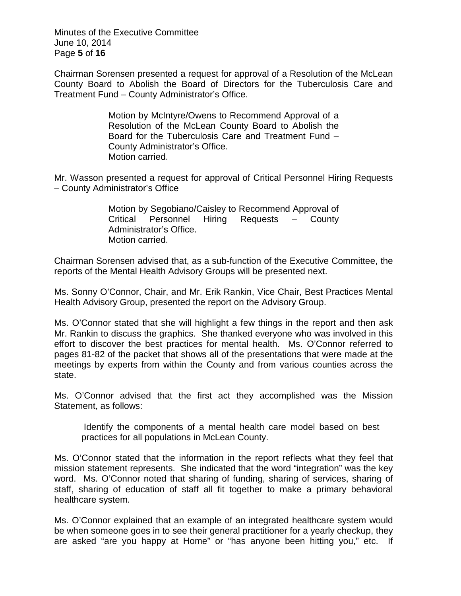Minutes of the Executive Committee June 10, 2014 Page **5** of **16**

Chairman Sorensen presented a request for approval of a Resolution of the McLean County Board to Abolish the Board of Directors for the Tuberculosis Care and Treatment Fund – County Administrator's Office.

> Motion by McIntyre/Owens to Recommend Approval of a Resolution of the McLean County Board to Abolish the Board for the Tuberculosis Care and Treatment Fund – County Administrator's Office. Motion carried.

Mr. Wasson presented a request for approval of Critical Personnel Hiring Requests – County Administrator's Office

> Motion by Segobiano/Caisley to Recommend Approval of Critical Personnel Hiring Requests – County Administrator's Office. Motion carried.

Chairman Sorensen advised that, as a sub-function of the Executive Committee, the reports of the Mental Health Advisory Groups will be presented next.

Ms. Sonny O'Connor, Chair, and Mr. Erik Rankin, Vice Chair, Best Practices Mental Health Advisory Group, presented the report on the Advisory Group.

Ms. O'Connor stated that she will highlight a few things in the report and then ask Mr. Rankin to discuss the graphics. She thanked everyone who was involved in this effort to discover the best practices for mental health. Ms. O'Connor referred to pages 81-82 of the packet that shows all of the presentations that were made at the meetings by experts from within the County and from various counties across the state.

Ms. O'Connor advised that the first act they accomplished was the Mission Statement, as follows:

Identify the components of a mental health care model based on best practices for all populations in McLean County.

Ms. O'Connor stated that the information in the report reflects what they feel that mission statement represents. She indicated that the word "integration" was the key word. Ms. O'Connor noted that sharing of funding, sharing of services, sharing of staff, sharing of education of staff all fit together to make a primary behavioral healthcare system.

Ms. O'Connor explained that an example of an integrated healthcare system would be when someone goes in to see their general practitioner for a yearly checkup, they are asked "are you happy at Home" or "has anyone been hitting you," etc. If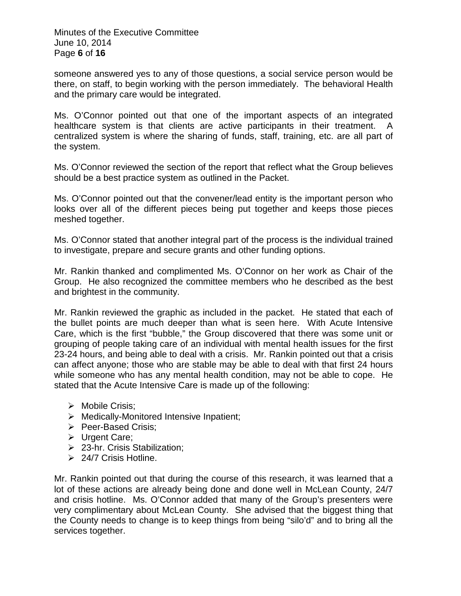Minutes of the Executive Committee June 10, 2014 Page **6** of **16**

someone answered yes to any of those questions, a social service person would be there, on staff, to begin working with the person immediately. The behavioral Health and the primary care would be integrated.

Ms. O'Connor pointed out that one of the important aspects of an integrated healthcare system is that clients are active participants in their treatment. A centralized system is where the sharing of funds, staff, training, etc. are all part of the system.

Ms. O'Connor reviewed the section of the report that reflect what the Group believes should be a best practice system as outlined in the Packet.

Ms. O'Connor pointed out that the convener/lead entity is the important person who looks over all of the different pieces being put together and keeps those pieces meshed together.

Ms. O'Connor stated that another integral part of the process is the individual trained to investigate, prepare and secure grants and other funding options.

Mr. Rankin thanked and complimented Ms. O'Connor on her work as Chair of the Group. He also recognized the committee members who he described as the best and brightest in the community.

Mr. Rankin reviewed the graphic as included in the packet. He stated that each of the bullet points are much deeper than what is seen here. With Acute Intensive Care, which is the first "bubble," the Group discovered that there was some unit or grouping of people taking care of an individual with mental health issues for the first 23-24 hours, and being able to deal with a crisis. Mr. Rankin pointed out that a crisis can affect anyone; those who are stable may be able to deal with that first 24 hours while someone who has any mental health condition, may not be able to cope. He stated that the Acute Intensive Care is made up of the following:

- > Mobile Crisis;
- $\triangleright$  Medically-Monitored Intensive Inpatient;
- Peer-Based Crisis:
- Urgent Care;
- 23-hr. Crisis Stabilization;
- $\geq$  24/7 Crisis Hotline.

Mr. Rankin pointed out that during the course of this research, it was learned that a lot of these actions are already being done and done well in McLean County, 24/7 and crisis hotline. Ms. O'Connor added that many of the Group's presenters were very complimentary about McLean County. She advised that the biggest thing that the County needs to change is to keep things from being "silo'd" and to bring all the services together.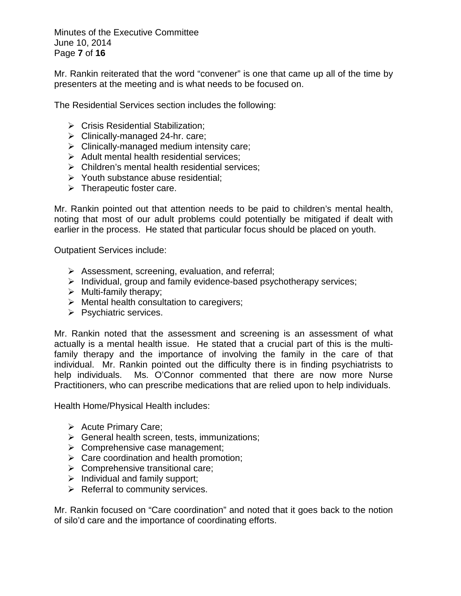Minutes of the Executive Committee June 10, 2014 Page **7** of **16**

Mr. Rankin reiterated that the word "convener" is one that came up all of the time by presenters at the meeting and is what needs to be focused on.

The Residential Services section includes the following:

- ▶ Crisis Residential Stabilization;
- $\triangleright$  Clinically-managed 24-hr. care;
- $\triangleright$  Clinically-managed medium intensity care;
- $\triangleright$  Adult mental health residential services;
- $\triangleright$  Children's mental health residential services:
- $\triangleright$  Youth substance abuse residential;
- $\triangleright$  Therapeutic foster care.

Mr. Rankin pointed out that attention needs to be paid to children's mental health, noting that most of our adult problems could potentially be mitigated if dealt with earlier in the process. He stated that particular focus should be placed on youth.

Outpatient Services include:

- $\triangleright$  Assessment, screening, evaluation, and referral;
- $\triangleright$  Individual, group and family evidence-based psychotherapy services;
- $\triangleright$  Multi-family therapy;
- $\triangleright$  Mental health consultation to caregivers;
- $\triangleright$  Psychiatric services.

Mr. Rankin noted that the assessment and screening is an assessment of what actually is a mental health issue. He stated that a crucial part of this is the multifamily therapy and the importance of involving the family in the care of that individual. Mr. Rankin pointed out the difficulty there is in finding psychiatrists to help individuals. Ms. O'Connor commented that there are now more Nurse Practitioners, who can prescribe medications that are relied upon to help individuals.

Health Home/Physical Health includes:

- $\triangleright$  Acute Primary Care:
- $\triangleright$  General health screen, tests, immunizations;
- $\triangleright$  Comprehensive case management;
- $\triangleright$  Care coordination and health promotion;
- $\triangleright$  Comprehensive transitional care;
- $\triangleright$  Individual and family support;
- $\triangleright$  Referral to community services.

Mr. Rankin focused on "Care coordination" and noted that it goes back to the notion of silo'd care and the importance of coordinating efforts.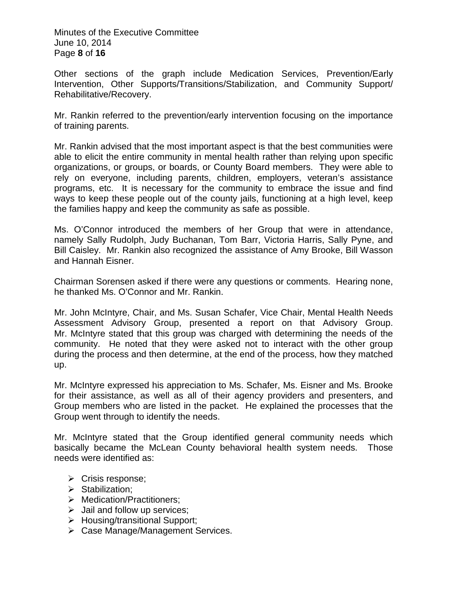Minutes of the Executive Committee June 10, 2014 Page **8** of **16**

Other sections of the graph include Medication Services, Prevention/Early Intervention, Other Supports/Transitions/Stabilization, and Community Support/ Rehabilitative/Recovery.

Mr. Rankin referred to the prevention/early intervention focusing on the importance of training parents.

Mr. Rankin advised that the most important aspect is that the best communities were able to elicit the entire community in mental health rather than relying upon specific organizations, or groups, or boards, or County Board members. They were able to rely on everyone, including parents, children, employers, veteran's assistance programs, etc. It is necessary for the community to embrace the issue and find ways to keep these people out of the county jails, functioning at a high level, keep the families happy and keep the community as safe as possible.

Ms. O'Connor introduced the members of her Group that were in attendance, namely Sally Rudolph, Judy Buchanan, Tom Barr, Victoria Harris, Sally Pyne, and Bill Caisley. Mr. Rankin also recognized the assistance of Amy Brooke, Bill Wasson and Hannah Eisner.

Chairman Sorensen asked if there were any questions or comments. Hearing none, he thanked Ms. O'Connor and Mr. Rankin.

Mr. John McIntyre, Chair, and Ms. Susan Schafer, Vice Chair, Mental Health Needs Assessment Advisory Group, presented a report on that Advisory Group. Mr. McIntyre stated that this group was charged with determining the needs of the community. He noted that they were asked not to interact with the other group during the process and then determine, at the end of the process, how they matched up.

Mr. McIntyre expressed his appreciation to Ms. Schafer, Ms. Eisner and Ms. Brooke for their assistance, as well as all of their agency providers and presenters, and Group members who are listed in the packet. He explained the processes that the Group went through to identify the needs.

Mr. McIntyre stated that the Group identified general community needs which basically became the McLean County behavioral health system needs. Those needs were identified as:

- $\triangleright$  Crisis response;
- $\triangleright$  Stabilization:
- > Medication/Practitioners;
- $\triangleright$  Jail and follow up services;
- > Housing/transitional Support;
- Case Manage/Management Services.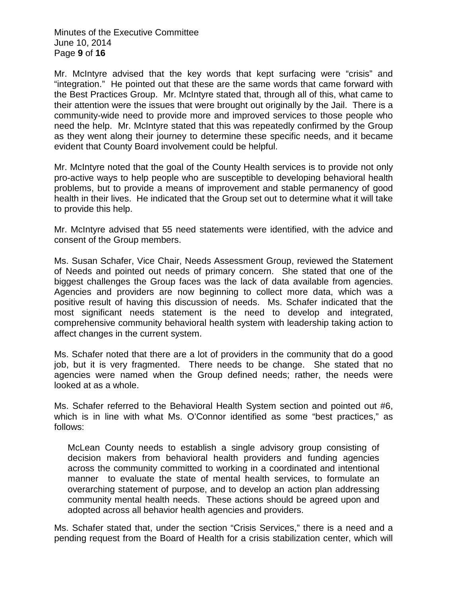Minutes of the Executive Committee June 10, 2014 Page **9** of **16**

Mr. McIntyre advised that the key words that kept surfacing were "crisis" and "integration." He pointed out that these are the same words that came forward with the Best Practices Group. Mr. McIntyre stated that, through all of this, what came to their attention were the issues that were brought out originally by the Jail. There is a community-wide need to provide more and improved services to those people who need the help. Mr. McIntyre stated that this was repeatedly confirmed by the Group as they went along their journey to determine these specific needs, and it became evident that County Board involvement could be helpful.

Mr. McIntyre noted that the goal of the County Health services is to provide not only pro-active ways to help people who are susceptible to developing behavioral health problems, but to provide a means of improvement and stable permanency of good health in their lives. He indicated that the Group set out to determine what it will take to provide this help.

Mr. McIntyre advised that 55 need statements were identified, with the advice and consent of the Group members.

Ms. Susan Schafer, Vice Chair, Needs Assessment Group, reviewed the Statement of Needs and pointed out needs of primary concern. She stated that one of the biggest challenges the Group faces was the lack of data available from agencies. Agencies and providers are now beginning to collect more data, which was a positive result of having this discussion of needs. Ms. Schafer indicated that the most significant needs statement is the need to develop and integrated, comprehensive community behavioral health system with leadership taking action to affect changes in the current system.

Ms. Schafer noted that there are a lot of providers in the community that do a good job, but it is very fragmented. There needs to be change. She stated that no agencies were named when the Group defined needs; rather, the needs were looked at as a whole.

Ms. Schafer referred to the Behavioral Health System section and pointed out #6, which is in line with what Ms. O'Connor identified as some "best practices," as follows:

McLean County needs to establish a single advisory group consisting of decision makers from behavioral health providers and funding agencies across the community committed to working in a coordinated and intentional manner to evaluate the state of mental health services, to formulate an overarching statement of purpose, and to develop an action plan addressing community mental health needs. These actions should be agreed upon and adopted across all behavior health agencies and providers.

Ms. Schafer stated that, under the section "Crisis Services," there is a need and a pending request from the Board of Health for a crisis stabilization center, which will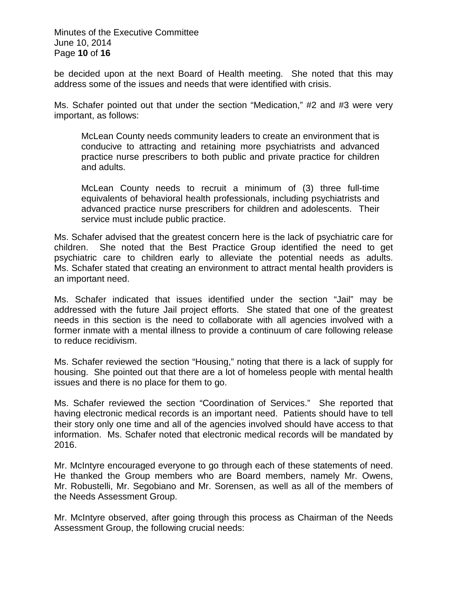Minutes of the Executive Committee June 10, 2014 Page **10** of **16**

be decided upon at the next Board of Health meeting. She noted that this may address some of the issues and needs that were identified with crisis.

Ms. Schafer pointed out that under the section "Medication," #2 and #3 were very important, as follows:

McLean County needs community leaders to create an environment that is conducive to attracting and retaining more psychiatrists and advanced practice nurse prescribers to both public and private practice for children and adults.

McLean County needs to recruit a minimum of (3) three full-time equivalents of behavioral health professionals, including psychiatrists and advanced practice nurse prescribers for children and adolescents. Their service must include public practice.

Ms. Schafer advised that the greatest concern here is the lack of psychiatric care for children. She noted that the Best Practice Group identified the need to get psychiatric care to children early to alleviate the potential needs as adults. Ms. Schafer stated that creating an environment to attract mental health providers is an important need.

Ms. Schafer indicated that issues identified under the section "Jail" may be addressed with the future Jail project efforts. She stated that one of the greatest needs in this section is the need to collaborate with all agencies involved with a former inmate with a mental illness to provide a continuum of care following release to reduce recidivism.

Ms. Schafer reviewed the section "Housing," noting that there is a lack of supply for housing. She pointed out that there are a lot of homeless people with mental health issues and there is no place for them to go.

Ms. Schafer reviewed the section "Coordination of Services." She reported that having electronic medical records is an important need. Patients should have to tell their story only one time and all of the agencies involved should have access to that information. Ms. Schafer noted that electronic medical records will be mandated by 2016.

Mr. McIntyre encouraged everyone to go through each of these statements of need. He thanked the Group members who are Board members, namely Mr. Owens, Mr. Robustelli, Mr. Segobiano and Mr. Sorensen, as well as all of the members of the Needs Assessment Group.

Mr. McIntyre observed, after going through this process as Chairman of the Needs Assessment Group, the following crucial needs: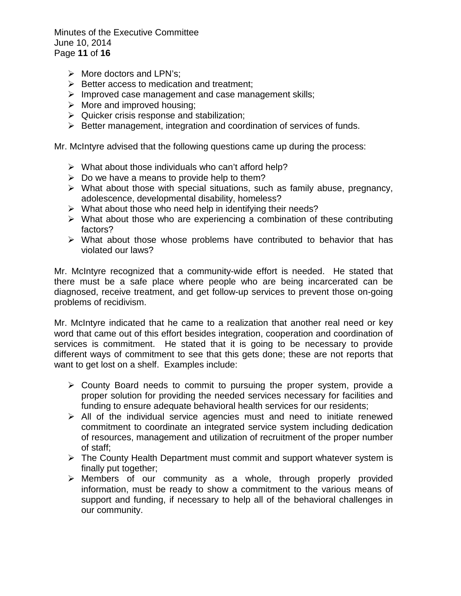Minutes of the Executive Committee June 10, 2014 Page **11** of **16**

- $\triangleright$  More doctors and LPN's;
- $\triangleright$  Better access to medication and treatment;
- $\triangleright$  Improved case management and case management skills;
- $\triangleright$  More and improved housing;
- $\triangleright$  Quicker crisis response and stabilization;
- $\triangleright$  Better management, integration and coordination of services of funds.

Mr. McIntyre advised that the following questions came up during the process:

- $\triangleright$  What about those individuals who can't afford help?
- $\triangleright$  Do we have a means to provide help to them?
- $\triangleright$  What about those with special situations, such as family abuse, pregnancy, adolescence, developmental disability, homeless?
- $\triangleright$  What about those who need help in identifying their needs?
- $\triangleright$  What about those who are experiencing a combination of these contributing factors?
- $\triangleright$  What about those whose problems have contributed to behavior that has violated our laws?

Mr. McIntyre recognized that a community-wide effort is needed. He stated that there must be a safe place where people who are being incarcerated can be diagnosed, receive treatment, and get follow-up services to prevent those on-going problems of recidivism.

Mr. McIntyre indicated that he came to a realization that another real need or key word that came out of this effort besides integration, cooperation and coordination of services is commitment. He stated that it is going to be necessary to provide different ways of commitment to see that this gets done; these are not reports that want to get lost on a shelf. Examples include:

- $\triangleright$  County Board needs to commit to pursuing the proper system, provide a proper solution for providing the needed services necessary for facilities and funding to ensure adequate behavioral health services for our residents;
- $\triangleright$  All of the individual service agencies must and need to initiate renewed commitment to coordinate an integrated service system including dedication of resources, management and utilization of recruitment of the proper number of staff;
- $\triangleright$  The County Health Department must commit and support whatever system is finally put together;
- $\triangleright$  Members of our community as a whole, through properly provided information, must be ready to show a commitment to the various means of support and funding, if necessary to help all of the behavioral challenges in our community.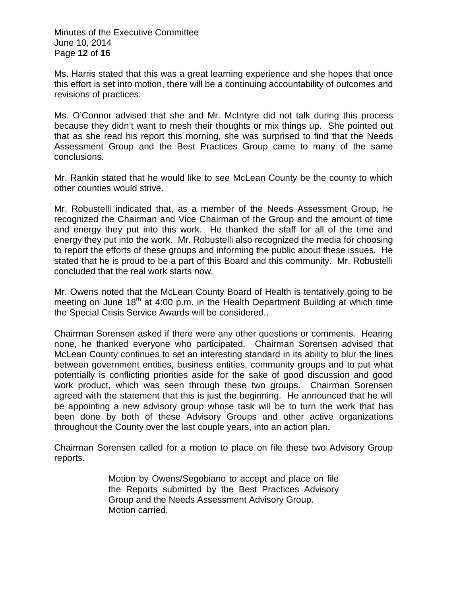Minutes of the Executive Committee June 10, 2014 Page **12** of **16**

Ms. Harris stated that this was a great learning experience and she hopes that once this effort is set into motion, there will be a continuing accountability of outcomes and revisions of practices.

Ms. O'Connor advised that she and Mr. McIntyre did not talk during this process because they didn't want to mesh their thoughts or mix things up. She pointed out that as she read his report this morning, she was surprised to find that the Needs Assessment Group and the Best Practices Group came to many of the same conclusions.

Mr. Rankin stated that he would like to see McLean County be the county to which other counties would strive.

Mr. Robustelli indicated that, as a member of the Needs Assessment Group, he recognized the Chairman and Vice Chairman of the Group and the amount of time and energy they put into this work. He thanked the staff for all of the time and energy they put into the work. Mr. Robustelli also recognized the media for choosing to report the efforts of these groups and informing the public about these issues. He stated that he is proud to be a part of this Board and this community. Mr. Robustelli concluded that the real work starts now.

Mr. Owens noted that the McLean County Board of Health is tentatively going to be meeting on June  $18<sup>th</sup>$  at 4:00 p.m. in the Health Department Building at which time the Special Crisis Service Awards will be considered..

Chairman Sorensen asked if there were any other questions or comments. Hearing none, he thanked everyone who participated. Chairman Sorensen advised that McLean County continues to set an interesting standard in its ability to blur the lines between government entities, business entities, community groups and to put what potentially is conflicting priorities aside for the sake of good discussion and good work product, which was seen through these two groups. Chairman Sorensen agreed with the statement that this is just the beginning. He announced that he will be appointing a new advisory group whose task will be to turn the work that has been done by both of these Advisory Groups and other active organizations throughout the County over the last couple years, into an action plan.

Chairman Sorensen called for a motion to place on file these two Advisory Group reports.

> Motion by Owens/Segobiano to accept and place on file the Reports submitted by the Best Practices Advisory Group and the Needs Assessment Advisory Group. Motion carried.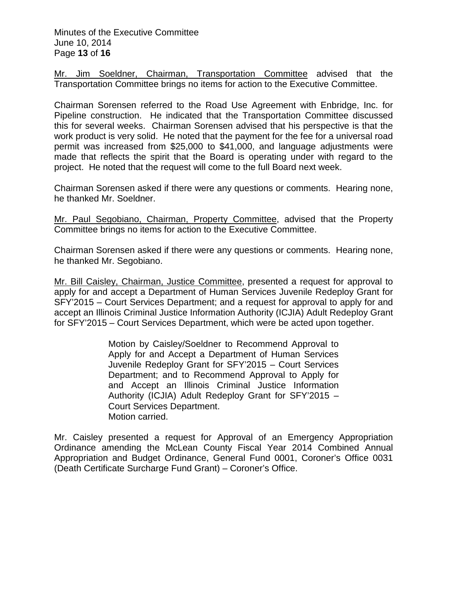Mr. Jim Soeldner, Chairman, Transportation Committee advised that the Transportation Committee brings no items for action to the Executive Committee.

Chairman Sorensen referred to the Road Use Agreement with Enbridge, Inc. for Pipeline construction. He indicated that the Transportation Committee discussed this for several weeks. Chairman Sorensen advised that his perspective is that the work product is very solid. He noted that the payment for the fee for a universal road permit was increased from \$25,000 to \$41,000, and language adjustments were made that reflects the spirit that the Board is operating under with regard to the project. He noted that the request will come to the full Board next week.

Chairman Sorensen asked if there were any questions or comments. Hearing none, he thanked Mr. Soeldner.

Mr. Paul Segobiano, Chairman, Property Committee, advised that the Property Committee brings no items for action to the Executive Committee.

Chairman Sorensen asked if there were any questions or comments. Hearing none, he thanked Mr. Segobiano.

Mr. Bill Caisley, Chairman, Justice Committee, presented a request for approval to apply for and accept a Department of Human Services Juvenile Redeploy Grant for SFY'2015 – Court Services Department; and a request for approval to apply for and accept an Illinois Criminal Justice Information Authority (ICJIA) Adult Redeploy Grant for SFY'2015 – Court Services Department, which were be acted upon together.

> Motion by Caisley/Soeldner to Recommend Approval to Apply for and Accept a Department of Human Services Juvenile Redeploy Grant for SFY'2015 – Court Services Department; and to Recommend Approval to Apply for and Accept an Illinois Criminal Justice Information Authority (ICJIA) Adult Redeploy Grant for SFY'2015 – Court Services Department. Motion carried.

Mr. Caisley presented a request for Approval of an Emergency Appropriation Ordinance amending the McLean County Fiscal Year 2014 Combined Annual Appropriation and Budget Ordinance, General Fund 0001, Coroner's Office 0031 (Death Certificate Surcharge Fund Grant) – Coroner's Office.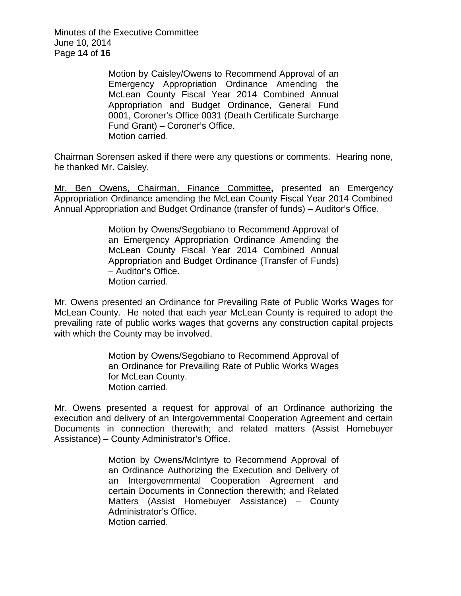Minutes of the Executive Committee June 10, 2014 Page **14** of **16**

> Motion by Caisley/Owens to Recommend Approval of an Emergency Appropriation Ordinance Amending the McLean County Fiscal Year 2014 Combined Annual Appropriation and Budget Ordinance, General Fund 0001, Coroner's Office 0031 (Death Certificate Surcharge Fund Grant) – Coroner's Office. Motion carried.

Chairman Sorensen asked if there were any questions or comments. Hearing none, he thanked Mr. Caisley.

Mr. Ben Owens, Chairman, Finance Committee**,** presented an Emergency Appropriation Ordinance amending the McLean County Fiscal Year 2014 Combined Annual Appropriation and Budget Ordinance (transfer of funds) – Auditor's Office.

> Motion by Owens/Segobiano to Recommend Approval of an Emergency Appropriation Ordinance Amending the McLean County Fiscal Year 2014 Combined Annual Appropriation and Budget Ordinance (Transfer of Funds) – Auditor's Office. Motion carried.

Mr. Owens presented an Ordinance for Prevailing Rate of Public Works Wages for McLean County. He noted that each year McLean County is required to adopt the prevailing rate of public works wages that governs any construction capital projects with which the County may be involved.

> Motion by Owens/Segobiano to Recommend Approval of an Ordinance for Prevailing Rate of Public Works Wages for McLean County. Motion carried.

Mr. Owens presented a request for approval of an Ordinance authorizing the execution and delivery of an Intergovernmental Cooperation Agreement and certain Documents in connection therewith; and related matters (Assist Homebuyer Assistance) – County Administrator's Office.

> Motion by Owens/McIntyre to Recommend Approval of an Ordinance Authorizing the Execution and Delivery of an Intergovernmental Cooperation Agreement and certain Documents in Connection therewith; and Related Matters (Assist Homebuyer Assistance) – County Administrator's Office. Motion carried.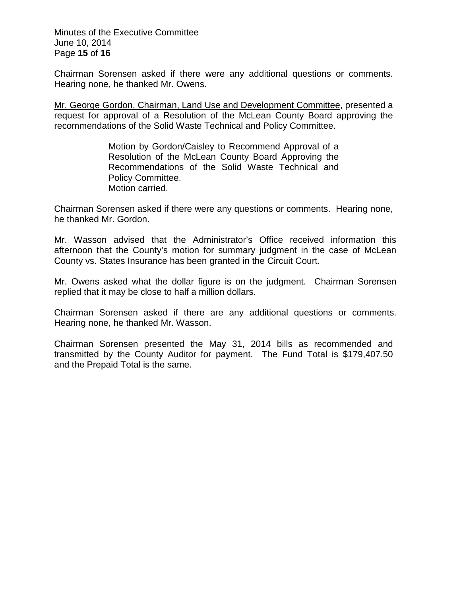Minutes of the Executive Committee June 10, 2014 Page **15** of **16**

Chairman Sorensen asked if there were any additional questions or comments. Hearing none, he thanked Mr. Owens.

Mr. George Gordon, Chairman, Land Use and Development Committee, presented a request for approval of a Resolution of the McLean County Board approving the recommendations of the Solid Waste Technical and Policy Committee.

> Motion by Gordon/Caisley to Recommend Approval of a Resolution of the McLean County Board Approving the Recommendations of the Solid Waste Technical and Policy Committee. Motion carried.

Chairman Sorensen asked if there were any questions or comments. Hearing none, he thanked Mr. Gordon.

Mr. Wasson advised that the Administrator's Office received information this afternoon that the County's motion for summary judgment in the case of McLean County vs. States Insurance has been granted in the Circuit Court.

Mr. Owens asked what the dollar figure is on the judgment. Chairman Sorensen replied that it may be close to half a million dollars.

Chairman Sorensen asked if there are any additional questions or comments. Hearing none, he thanked Mr. Wasson.

Chairman Sorensen presented the May 31, 2014 bills as recommended and transmitted by the County Auditor for payment. The Fund Total is \$179,407.50 and the Prepaid Total is the same.